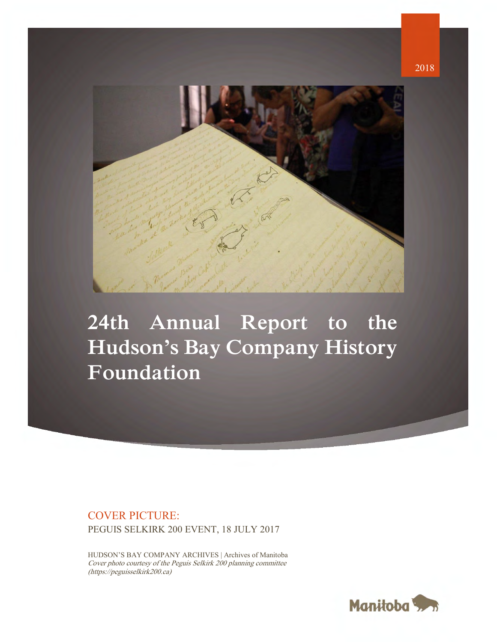

# **24th Annual Report to the Hudson's Bay Company History Foundation**

#### COVER PICTURE: PEGUIS SELKIRK 200 EVENT, 18 JULY 2017

HUDSON'S BAY COMPANY ARCHIVES | Archives of Manitoba Cover photo courtesy of the Peguis Selkirk 200 planning committee (https://peguisselkirk200.ca)

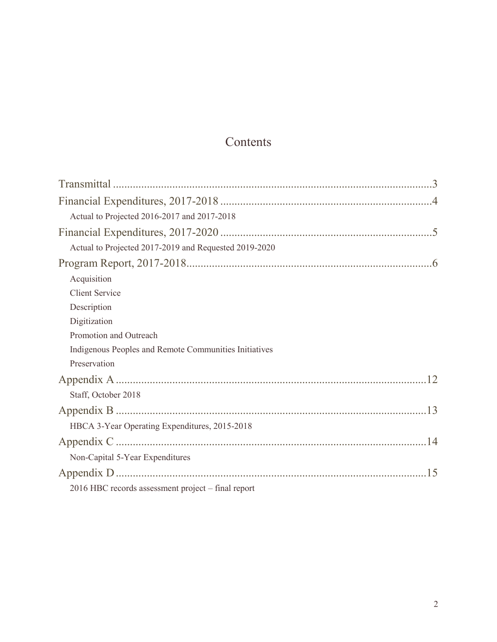## Contents

| Actual to Projected 2016-2017 and 2017-2018           |  |
|-------------------------------------------------------|--|
|                                                       |  |
| Actual to Projected 2017-2019 and Requested 2019-2020 |  |
|                                                       |  |
| Acquisition                                           |  |
| <b>Client Service</b>                                 |  |
| Description                                           |  |
| Digitization                                          |  |
| Promotion and Outreach                                |  |
| Indigenous Peoples and Remote Communities Initiatives |  |
| Preservation                                          |  |
|                                                       |  |
| Staff, October 2018                                   |  |
|                                                       |  |
| HBCA 3-Year Operating Expenditures, 2015-2018         |  |
|                                                       |  |
| Non-Capital 5-Year Expenditures                       |  |
|                                                       |  |
| 2016 HBC records assessment project - final report    |  |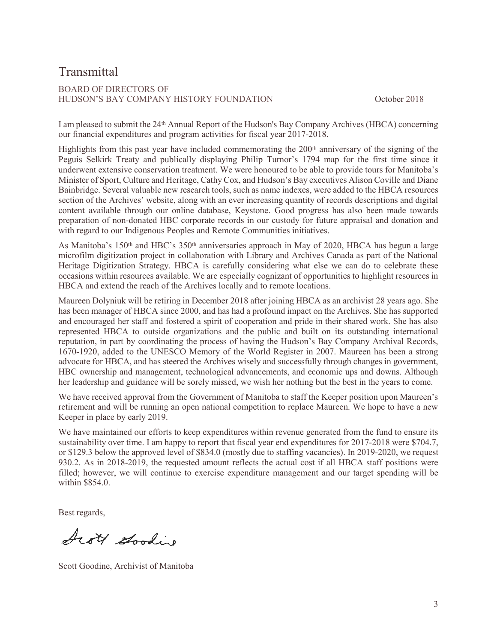### <span id="page-2-0"></span>Transmittal

#### BOARD OF DIRECTORS OF HUDSON'S BAY COMPANY HISTORY FOUNDATION October 2018

I am pleased to submit the 24th Annual Report of the Hudson's Bay Company Archives (HBCA) concerning our financial expenditures and program activities for fiscal year 2017-2018.

Highlights from this past year have included commemorating the  $200<sup>th</sup>$  anniversary of the signing of the Peguis Selkirk Treaty and publically displaying Philip Turnor's 1794 map for the first time since it underwent extensive conservation treatment. We were honoured to be able to provide tours for Manitoba's Minister of Sport, Culture and Heritage, Cathy Cox, and Hudson's Bay executives Alison Coville and Diane Bainbridge. Several valuable new research tools, such as name indexes, were added to the HBCA resources section of the Archives' website, along with an ever increasing quantity of records descriptions and digital content available through our online database, Keystone. Good progress has also been made towards preparation of non-donated HBC corporate records in our custody for future appraisal and donation and with regard to our Indigenous Peoples and Remote Communities initiatives.

As Manitoba's 150<sup>th</sup> and HBC's 350<sup>th</sup> anniversaries approach in May of 2020, HBCA has begun a large microfilm digitization project in collaboration with Library and Archives Canada as part of the National Heritage Digitization Strategy. HBCA is carefully considering what else we can do to celebrate these occasions within resources available. We are especially cognizant of opportunities to highlight resources in HBCA and extend the reach of the Archives locally and to remote locations.

Maureen Dolyniuk will be retiring in December 2018 after joining HBCA as an archivist 28 years ago. She has been manager of HBCA since 2000, and has had a profound impact on the Archives. She has supported and encouraged her staff and fostered a spirit of cooperation and pride in their shared work. She has also represented HBCA to outside organizations and the public and built on its outstanding international reputation, in part by coordinating the process of having the Hudson's Bay Company Archival Records, 1670-1920, added to the UNESCO Memory of the World Register in 2007. Maureen has been a strong advocate for HBCA, and has steered the Archives wisely and successfully through changes in government, HBC ownership and management, technological advancements, and economic ups and downs. Although her leadership and guidance will be sorely missed, we wish her nothing but the best in the years to come.

We have received approval from the Government of Manitoba to staff the Keeper position upon Maureen's retirement and will be running an open national competition to replace Maureen. We hope to have a new Keeper in place by early 2019.

We have maintained our efforts to keep expenditures within revenue generated from the fund to ensure its sustainability over time. I am happy to report that fiscal year end expenditures for 2017-2018 were \$704.7, or \$129.3 below the approved level of \$834.0 (mostly due to staffing vacancies). In 2019-2020, we request 930.2. As in 2018-2019, the requested amount reflects the actual cost if all HBCA staff positions were filled; however, we will continue to exercise expenditure management and our target spending will be within \$854.0.

Best regards,

Jist Gooding

Scott Goodine, Archivist of Manitoba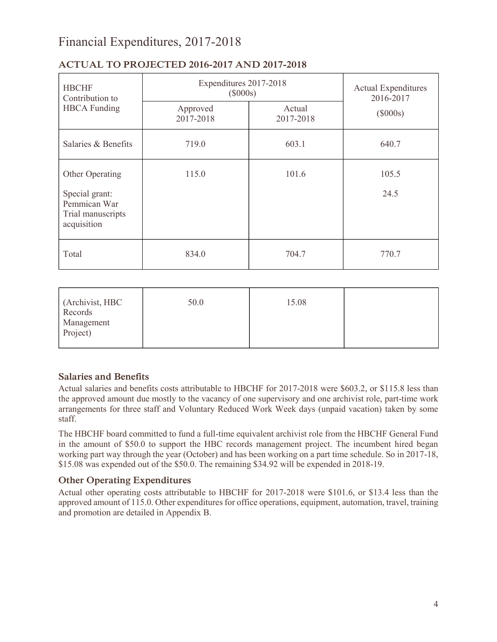## <span id="page-3-0"></span>Financial Expenditures, 2017-2018

| <b>HBCHF</b><br>Contribution to<br><b>HBCA</b> Funding                                | Expenditures 2017-2018<br>(\$000s) | <b>Actual Expenditures</b><br>2016-2017 |               |
|---------------------------------------------------------------------------------------|------------------------------------|-----------------------------------------|---------------|
|                                                                                       | Approved<br>2017-2018              | Actual<br>2017-2018                     | (\$000s)      |
| Salaries & Benefits                                                                   | 719.0                              | 603.1                                   | 640.7         |
| Other Operating<br>Special grant:<br>Pemmican War<br>Trial manuscripts<br>acquisition | 115.0                              | 101.6                                   | 105.5<br>24.5 |
| Total                                                                                 | 834.0                              | 704.7                                   | 770.7         |

#### <span id="page-3-1"></span>**ACTUAL TO PROJECTED 2016-2017 AND 2017-2018**

| (Archivist, HBC<br>Records<br>Management<br>Project) | 50.0 | 15.08 |  |
|------------------------------------------------------|------|-------|--|
|                                                      |      |       |  |

#### **Salaries and Benefits**

Actual salaries and benefits costs attributable to HBCHF for 2017-2018 were \$603.2, or \$115.8 less than the approved amount due mostly to the vacancy of one supervisory and one archivist role, part-time work arrangements for three staff and Voluntary Reduced Work Week days (unpaid vacation) taken by some staff.

The HBCHF board committed to fund a full-time equivalent archivist role from the HBCHF General Fund in the amount of \$50.0 to support the HBC records management project. The incumbent hired began working part way through the year (October) and has been working on a part time schedule. So in 2017-18, \$15.08 was expended out of the \$50.0. The remaining \$34.92 will be expended in 2018-19.

#### **Other Operating Expenditures**

Actual other operating costs attributable to HBCHF for 2017-2018 were \$101.6, or \$13.4 less than the approved amount of 115.0. Other expenditures for office operations, equipment, automation, travel, training and promotion are detailed in Appendix B.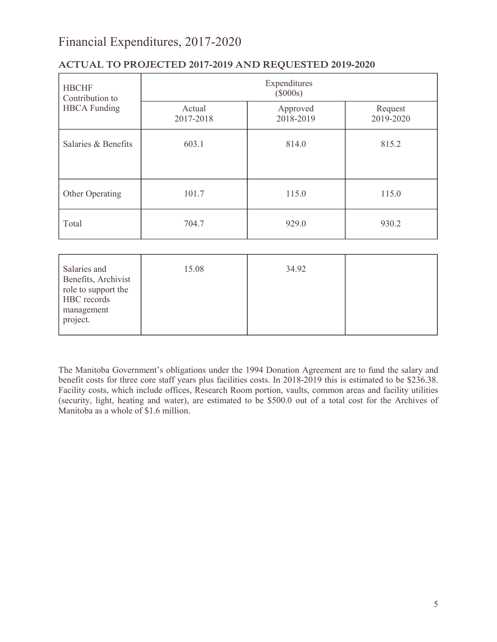| <b>HBCHF</b><br>Contribution to<br><b>HBCA</b> Funding | Expenditures<br>$(\$000s)$ |                       |                      |  |
|--------------------------------------------------------|----------------------------|-----------------------|----------------------|--|
|                                                        | Actual<br>2017-2018        | Approved<br>2018-2019 | Request<br>2019-2020 |  |
| Salaries & Benefits                                    | 603.1                      | 814.0                 | 815.2                |  |
| Other Operating                                        | 101.7                      | 115.0                 | 115.0                |  |
| Total                                                  | 704.7                      | 929.0                 | 930.2                |  |

#### <span id="page-4-1"></span><span id="page-4-0"></span>**ACTUAL TO PROJECTED 2017-2019 AND REQUESTED 2019-2020**

| Salaries and                               | 15.08 | 34.92 |  |
|--------------------------------------------|-------|-------|--|
| Benefits, Archivist<br>role to support the |       |       |  |
| HBC records<br>management                  |       |       |  |
| project.                                   |       |       |  |

The Manitoba Government's obligations under the 1994 Donation Agreement are to fund the salary and benefit costs for three core staff years plus facilities costs. In 2018-2019 this is estimated to be \$236.38. Facility costs, which include offices, Research Room portion, vaults, common areas and facility utilities (security, light, heating and water), are estimated to be \$500.0 out of a total cost for the Archives of Manitoba as a whole of \$1.6 million.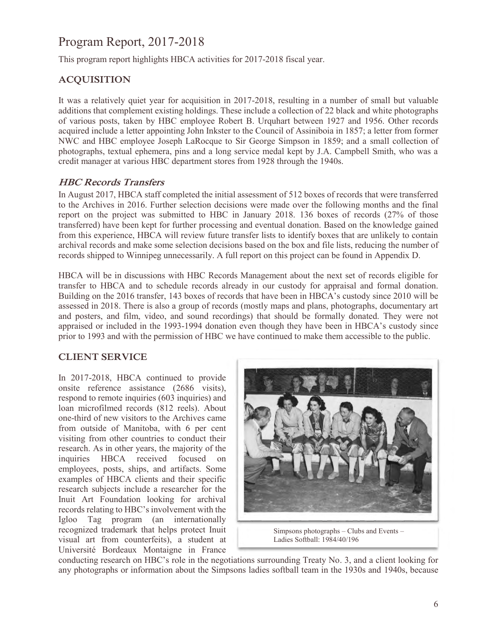## <span id="page-5-0"></span>Program Report, 2017-2018

This program report highlights HBCA activities for 2017-2018 fiscal year.

#### <span id="page-5-1"></span>**ACQUISITION**

It was a relatively quiet year for acquisition in 2017-2018, resulting in a number of small but valuable additions that complement existing holdings. These include a collection of 22 black and white photographs of various posts, taken by HBC employee Robert B. Urquhart between 1927 and 1956. Other records acquired include a letter appointing John Inkster to the Council of Assiniboia in 1857; a letter from former NWC and HBC employee Joseph LaRocque to Sir George Simpson in 1859; and a small collection of photographs, textual ephemera, pins and a long service medal kept by J.A. Campbell Smith, who was a credit manager at various HBC department stores from 1928 through the 1940s.

#### **HBC Records Transfers**

In August 2017, HBCA staff completed the initial assessment of 512 boxes of records that were transferred to the Archives in 2016. Further selection decisions were made over the following months and the final report on the project was submitted to HBC in January 2018. 136 boxes of records (27% of those transferred) have been kept for further processing and eventual donation. Based on the knowledge gained from this experience, HBCA will review future transfer lists to identify boxes that are unlikely to contain archival records and make some selection decisions based on the box and file lists, reducing the number of records shipped to Winnipeg unnecessarily. A full report on this project can be found in Appendix D.

HBCA will be in discussions with HBC Records Management about the next set of records eligible for transfer to HBCA and to schedule records already in our custody for appraisal and formal donation. Building on the 2016 transfer, 143 boxes of records that have been in HBCA's custody since 2010 will be assessed in 2018. There is also a group of records (mostly maps and plans, photographs, documentary art and posters, and film, video, and sound recordings) that should be formally donated. They were not appraised or included in the 1993-1994 donation even though they have been in HBCA's custody since prior to 1993 and with the permission of HBC we have continued to make them accessible to the public.

#### <span id="page-5-2"></span>**CLIENT SERVICE**

In 2017-2018, HBCA continued to provide onsite reference assistance (2686 visits), respond to remote inquiries (603 inquiries) and loan microfilmed records (812 reels). About one-third of new visitors to the Archives came from outside of Manitoba, with 6 per cent visiting from other countries to conduct their research. As in other years, the majority of the inquiries HBCA received focused on employees, posts, ships, and artifacts. Some examples of HBCA clients and their specific research subjects include a researcher for the Inuit Art Foundation looking for archival records relating to HBC's involvement with the Igloo Tag program (an internationally recognized trademark that helps protect Inuit visual art from counterfeits), a student at Université Bordeaux Montaigne in France



Simpsons photographs – Clubs and Events – Ladies Softball: 1984/40/196

conducting research on HBC's role in the negotiations surrounding Treaty No. 3, and a client looking for any photographs or information about the Simpsons ladies softball team in the 1930s and 1940s, because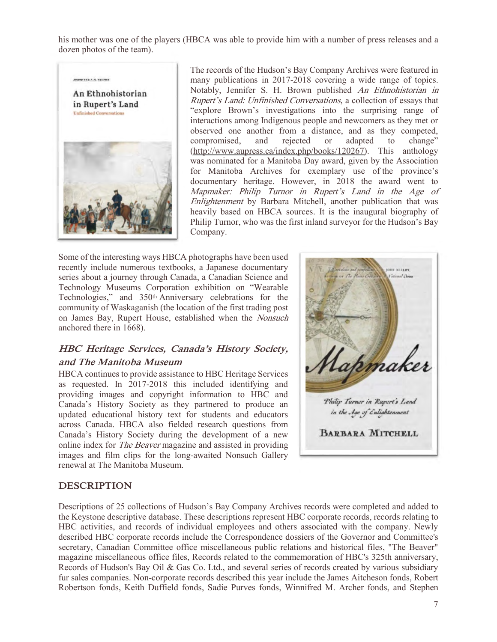his mother was one of the players (HBCA was able to provide him with a number of press releases and a dozen photos of the team).



The records of the Hudson's Bay Company Archives were featured in many publications in 2017-2018 covering a wide range of topics. Notably, Jennifer S. H. Brown published An Ethnohistorian in Rupert's Land: Unfinished Conversations, a collection of essays that "explore Brown's investigations into the surprising range of interactions among Indigenous people and newcomers as they met or observed one another from a distance, and as they competed, compromised, and rejected or adapted to change" [\(http://www.aupress.ca/index.php/books/120267\)](http://www.aupress.ca/index.php/books/120267). This anthology was nominated for a Manitoba Day award, given by the Association for Manitoba Archives for exemplary use of the province's documentary heritage. However, in 2018 the award went to Mapmaker: Philip Turnor in Rupert's Land in the Age of Enlightenment by Barbara Mitchell, another publication that was heavily based on HBCA sources. It is the inaugural biography of Philip Turnor, who was the first inland surveyor for the Hudson's Bay Company.

Some of the interesting ways HBCA photographs have been used recently include numerous textbooks, a Japanese documentary series about a journey through Canada, a Canadian Science and Technology Museums Corporation exhibition on "Wearable Technologies," and 350th Anniversary celebrations for the community of Waskaganish (the location of the first trading post on James Bay, Rupert House, established when the Nonsuch anchored there in 1668).

#### **HBC Heritage Services, Canada's History Society, and The Manitoba Museum**

HBCA continues to provide assistance to HBC Heritage Services as requested. In 2017-2018 this included identifying and providing images and copyright information to HBC and Canada's History Society as they partnered to produce an updated educational history text for students and educators across Canada. HBCA also fielded research questions from Canada's History Society during the development of a new online index for The Beaver magazine and assisted in providing images and film clips for the long-awaited Nonsuch Gallery renewal at The Manitoba Museum.



#### <span id="page-6-0"></span>**DESCRIPTION**

Descriptions of 25 collections of Hudson's Bay Company Archives records were completed and added to the Keystone descriptive database. These descriptions represent HBC corporate records, records relating to HBC activities, and records of individual employees and others associated with the company. Newly described HBC corporate records include the Correspondence dossiers of the Governor and Committee's secretary, Canadian Committee office miscellaneous public relations and historical files, "The Beaver" magazine miscellaneous office files, Records related to the commemoration of HBC's 325th anniversary, Records of Hudson's Bay Oil & Gas Co. Ltd., and several series of records created by various subsidiary fur sales companies. Non-corporate records described this year include the James Aitcheson fonds, Robert Robertson fonds, Keith Duffield fonds, Sadie Purves fonds, Winnifred M. Archer fonds, and Stephen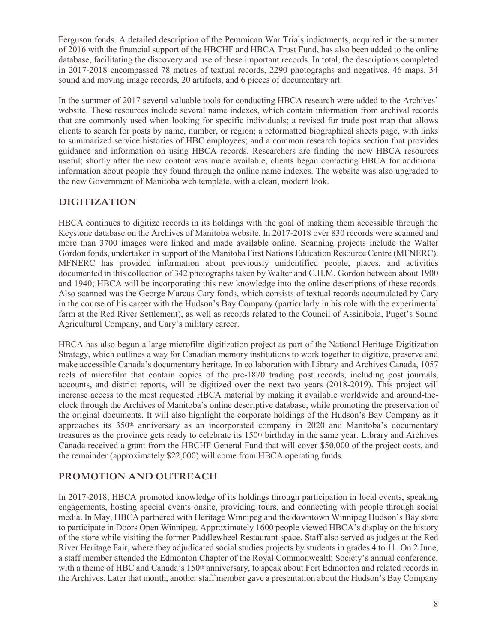Ferguson fonds. A detailed description of the Pemmican War Trials indictments, acquired in the summer of 2016 with the financial support of the HBCHF and HBCA Trust Fund, has also been added to the online database, facilitating the discovery and use of these important records. In total, the descriptions completed in 2017-2018 encompassed 78 metres of textual records, 2290 photographs and negatives, 46 maps, 34 sound and moving image records, 20 artifacts, and 6 pieces of documentary art.

In the summer of 2017 several valuable tools for conducting HBCA research were added to the Archives' website. These resources include several name indexes, which contain information from archival records that are commonly used when looking for specific individuals; a revised fur trade post map that allows clients to search for posts by name, number, or region; a reformatted biographical sheets page, with links to summarized service histories of HBC employees; and a common research topics section that provides guidance and information on using HBCA records. Researchers are finding the new HBCA resources useful; shortly after the new content was made available, clients began contacting HBCA for additional information about people they found through the online name indexes. The website was also upgraded to the new Government of Manitoba web template, with a clean, modern look.

#### <span id="page-7-0"></span>**DIGITIZATION**

HBCA continues to digitize records in its holdings with the goal of making them accessible through the Keystone database on the Archives of Manitoba website. In 2017-2018 over 830 records were scanned and more than 3700 images were linked and made available online. Scanning projects include the Walter Gordon fonds, undertaken in support of the Manitoba First Nations Education Resource Centre (MFNERC). MFNERC has provided information about previously unidentified people, places, and activities documented in this collection of 342 photographs taken by Walter and C.H.M. Gordon between about 1900 and 1940; HBCA will be incorporating this new knowledge into the online descriptions of these records. Also scanned was the George Marcus Cary fonds, which consists of textual records accumulated by Cary in the course of his career with the Hudson's Bay Company (particularly in his role with the experimental farm at the Red River Settlement), as well as records related to the Council of Assiniboia, Puget's Sound Agricultural Company, and Cary's military career.

HBCA has also begun a large microfilm digitization project as part of the National Heritage Digitization Strategy, which outlines a way for Canadian memory institutions to work together to digitize, preserve and make accessible Canada's documentary heritage. In collaboration with Library and Archives Canada, 1057 reels of microfilm that contain copies of the pre-1870 trading post records, including post journals, accounts, and district reports, will be digitized over the next two years (2018-2019). This project will increase access to the most requested HBCA material by making it available worldwide and around-theclock through the Archives of Manitoba's online descriptive database, while promoting the preservation of the original documents. It will also highlight the corporate holdings of the Hudson's Bay Company as it approaches its  $350<sup>th</sup>$  anniversary as an incorporated company in 2020 and Manitoba's documentary treasures as the province gets ready to celebrate its 150th birthday in the same year. Library and Archives Canada received a grant from the HBCHF General Fund that will cover \$50,000 of the project costs, and the remainder (approximately \$22,000) will come from HBCA operating funds.

#### <span id="page-7-1"></span>**PROMOTION AND OUTREACH**

In 2017-2018, HBCA promoted knowledge of its holdings through participation in local events, speaking engagements, hosting special events onsite, providing tours, and connecting with people through social media. In May, HBCA partnered with Heritage Winnipeg and the downtown Winnipeg Hudson's Bay store to participate in Doors Open Winnipeg. Approximately 1600 people viewed HBCA's display on the history of the store while visiting the former Paddlewheel Restaurant space. Staff also served as judges at the Red River Heritage Fair, where they adjudicated social studies projects by students in grades 4 to 11. On 2 June, a staff member attended the Edmonton Chapter of the Royal Commonwealth Society's annual conference, with a theme of HBC and Canada's 150<sup>th</sup> anniversary, to speak about Fort Edmonton and related records in the Archives. Later that month, another staff member gave a presentation about the Hudson's Bay Company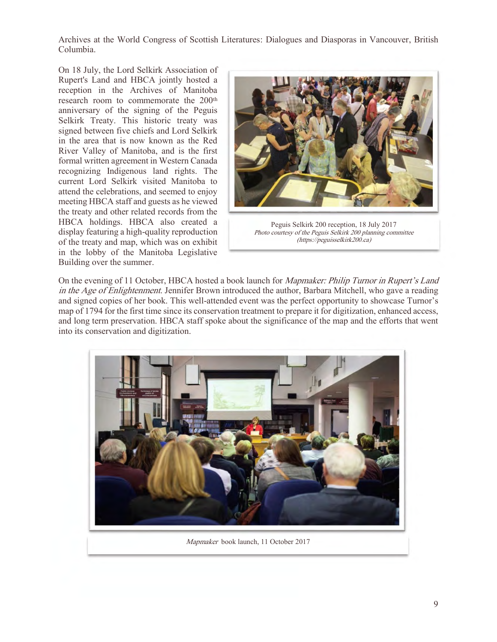Archives at the World Congress of Scottish Literatures: Dialogues and Diasporas in Vancouver, British Columbia.

On 18 July, the Lord Selkirk Association of Rupert's Land and HBCA jointly hosted a reception in the Archives of Manitoba research room to commemorate the 200<sup>th</sup> anniversary of the signing of the Peguis Selkirk Treaty. This historic treaty was signed between five chiefs and Lord Selkirk in the area that is now known as the Red River Valley of Manitoba, and is the first formal written agreement in Western Canada recognizing Indigenous land rights. The current Lord Selkirk visited Manitoba to attend the celebrations, and seemed to enjoy meeting HBCA staff and guests as he viewed the treaty and other related records from the HBCA holdings. HBCA also created a display featuring a high-quality reproduction of the treaty and map, which was on exhibit in the lobby of the Manitoba Legislative Building over the summer.



Peguis Selkirk 200 reception, 18 July 2017 Photo courtesy of the Peguis Selkirk 200 planning committee (https://peguisselkirk200.ca)

On the evening of 11 October, HBCA hosted a book launch for Mapmaker: Philip Turnor in Rupert's Land in the Age of Enlightenment. Jennifer Brown introduced the author, Barbara Mitchell, who gave a reading and signed copies of her book. This well-attended event was the perfect opportunity to showcase Turnor's map of 1794 for the first time since its conservation treatment to prepare it for digitization, enhanced access, and long term preservation. HBCA staff spoke about the significance of the map and the efforts that went into its conservation and digitization.



Mapmaker book launch, 11 October 2017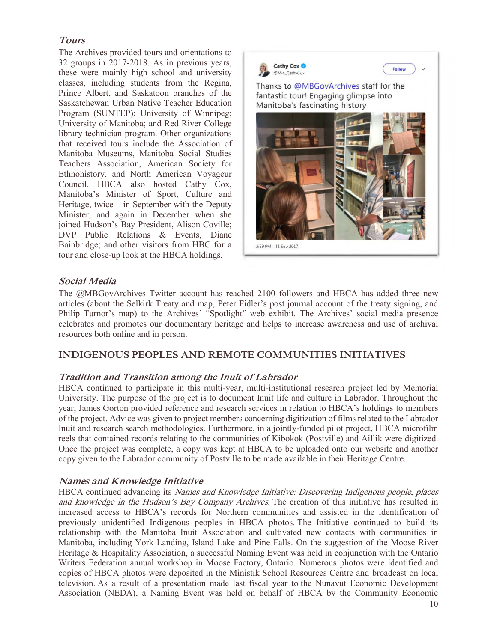#### **Tours**

The Archives provided tours and orientations to 32 groups in 2017-2018. As in previous years, these were mainly high school and university classes, including students from the Regina, Prince Albert, and Saskatoon branches of the Saskatchewan Urban Native Teacher Education Program (SUNTEP); University of Winnipeg; University of Manitoba; and Red River College library technician program. Other organizations that received tours include the Association of Manitoba Museums, Manitoba Social Studies Teachers Association, American Society for Ethnohistory, and North American Voyageur Council. HBCA also hosted Cathy Cox, Manitoba's Minister of Sport, Culture and Heritage, twice – in September with the Deputy Minister, and again in December when she joined Hudson's Bay President, Alison Coville; DVP Public Relations & Events, Diane Bainbridge; and other visitors from HBC for a tour and close-up look at the HBCA holdings.



#### **Social Media**

The @MBGovArchives Twitter account has reached 2100 followers and HBCA has added three new articles (about the Selkirk Treaty and map, Peter Fidler's post journal account of the treaty signing, and Philip Turnor's map) to the Archives' "Spotlight" web exhibit. The Archives' social media presence celebrates and promotes our documentary heritage and helps to increase awareness and use of archival resources both online and in person.

#### <span id="page-9-0"></span>**INDIGENOUS PEOPLES AND REMOTE COMMUNITIES INITIATIVES**

#### **Tradition and Transition among the Inuit of Labrador**

HBCA continued to participate in this multi-year, multi-institutional research project led by Memorial University. The purpose of the project is to document Inuit life and culture in Labrador. Throughout the year, James Gorton provided reference and research services in relation to HBCA's holdings to members of the project. Advice was given to project members concerning digitization of films related to the Labrador Inuit and research search methodologies. Furthermore, in a jointly-funded pilot project, HBCA microfilm reels that contained records relating to the communities of Kibokok (Postville) and Aillik were digitized. Once the project was complete, a copy was kept at HBCA to be uploaded onto our website and another copy given to the Labrador community of Postville to be made available in their Heritage Centre.

#### **Names and Knowledge Initiative**

HBCA continued advancing its Names and Knowledge Initiative: Discovering Indigenous people, places and knowledge in the Hudson's Bay Company Archives. The creation of this initiative has resulted in increased access to HBCA's records for Northern communities and assisted in the identification of previously unidentified Indigenous peoples in HBCA photos. The Initiative continued to build its relationship with the Manitoba Inuit Association and cultivated new contacts with communities in Manitoba, including York Landing, Island Lake and Pine Falls. On the suggestion of the Moose River Heritage & Hospitality Association, a successful Naming Event was held in conjunction with the Ontario Writers Federation annual workshop in Moose Factory, Ontario. Numerous photos were identified and copies of HBCA photos were deposited in the Ministik School Resources Centre and broadcast on local television. As a result of a presentation made last fiscal year to the Nunavut Economic Development Association (NEDA), a Naming Event was held on behalf of HBCA by the Community Economic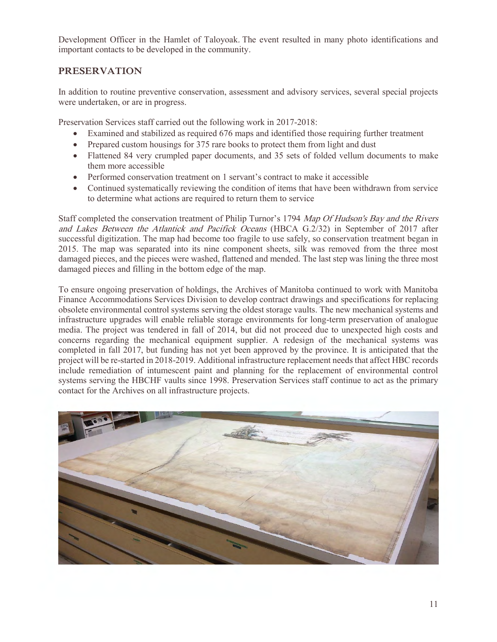Development Officer in the Hamlet of Taloyoak. The event resulted in many photo identifications and important contacts to be developed in the community.

#### <span id="page-10-0"></span>**PRESERVATION**

In addition to routine preventive conservation, assessment and advisory services, several special projects were undertaken, or are in progress.

Preservation Services staff carried out the following work in 2017-2018:

- Examined and stabilized as required 676 maps and identified those requiring further treatment
- Prepared custom housings for 375 rare books to protect them from light and dust
- Flattened 84 very crumpled paper documents, and 35 sets of folded vellum documents to make them more accessible
- Performed conservation treatment on 1 servant's contract to make it accessible
- Continued systematically reviewing the condition of items that have been withdrawn from service to determine what actions are required to return them to service

Staff completed the conservation treatment of Philip Turnor's 1794 Map Of Hudson's Bay and the Rivers and Lakes Between the Atlantick and Pacifick Oceans (HBCA G.2/32) in September of 2017 after successful digitization. The map had become too fragile to use safely, so conservation treatment began in 2015. The map was separated into its nine component sheets, silk was removed from the three most damaged pieces, and the pieces were washed, flattened and mended. The last step was lining the three most damaged pieces and filling in the bottom edge of the map.

To ensure ongoing preservation of holdings, the Archives of Manitoba continued to work with Manitoba Finance Accommodations Services Division to develop contract drawings and specifications for replacing obsolete environmental control systems serving the oldest storage vaults. The new mechanical systems and infrastructure upgrades will enable reliable storage environments for long-term preservation of analogue media. The project was tendered in fall of 2014, but did not proceed due to unexpected high costs and concerns regarding the mechanical equipment supplier. A redesign of the mechanical systems was completed in fall 2017, but funding has not yet been approved by the province. It is anticipated that the project will be re-started in 2018-2019. Additional infrastructure replacement needs that affect HBC records include remediation of intumescent paint and planning for the replacement of environmental control systems serving the HBCHF vaults since 1998. Preservation Services staff continue to act as the primary contact for the Archives on all infrastructure projects.

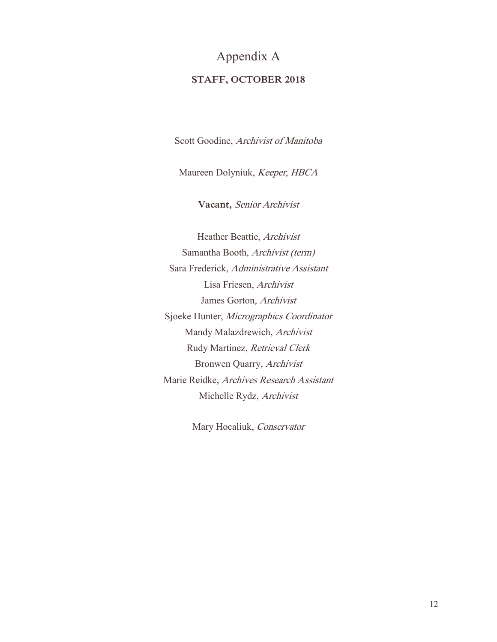### Appendix A

#### <span id="page-11-1"></span><span id="page-11-0"></span>**STAFF, OCTOBER 2018**

Scott Goodine, Archivist of Manitoba

Maureen Dolyniuk, Keeper, HBCA

**Vacant,** Senior Archivist

Heather Beattie, Archivist Samantha Booth, Archivist (term) Sara Frederick, Administrative Assistant Lisa Friesen, Archivist James Gorton, Archivist Sjoeke Hunter, Micrographics Coordinator Mandy Malazdrewich, Archivist Rudy Martinez, Retrieval Clerk Bronwen Quarry, Archivist Marie Reidke, Archives Research Assistant Michelle Rydz, Archivist

Mary Hocaliuk, Conservator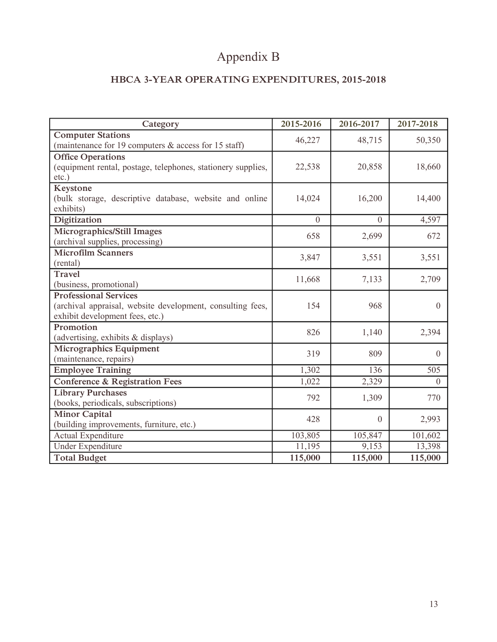## Appendix B

### <span id="page-12-0"></span>**HBCA 3-YEAR OPERATING EXPENDITURES, 2015-2018**

<span id="page-12-1"></span>

| Category                                                                                                                      | 2015-2016      | 2016-2017      | 2017-2018      |
|-------------------------------------------------------------------------------------------------------------------------------|----------------|----------------|----------------|
| <b>Computer Stations</b><br>(maintenance for 19 computers $\&$ access for 15 staff)                                           | 46,227         | 48,715         | 50,350         |
| <b>Office Operations</b><br>(equipment rental, postage, telephones, stationery supplies,<br>$etc.$ )                          | 22,538         | 20,858         | 18,660         |
| Keystone<br>(bulk storage, descriptive database, website and online<br>exhibits)                                              | 14,024         | 16,200         | 14,400         |
| <b>Digitization</b>                                                                                                           | $\overline{0}$ | $\overline{0}$ | 4,597          |
| <b>Micrographics/Still Images</b><br>(archival supplies, processing)                                                          | 658            | 2,699          | 672            |
| <b>Microfilm Scanners</b><br>(rental)                                                                                         | 3,847          | 3,551          | 3,551          |
| <b>Travel</b><br>(business, promotional)                                                                                      | 11,668         | 7,133          | 2,709          |
| <b>Professional Services</b><br>(archival appraisal, website development, consulting fees,<br>exhibit development fees, etc.) | 154            | 968            | $\Omega$       |
| Promotion<br>(advertising, exhibits & displays)                                                                               | 826            | 1,140          | 2,394          |
| Micrographics Equipment<br>(maintenance, repairs)                                                                             | 319            | 809            | $\theta$       |
| <b>Employee Training</b>                                                                                                      | 1,302          | 136            | 505            |
| <b>Conference &amp; Registration Fees</b>                                                                                     | 1,022          | 2,329          | $\overline{0}$ |
| <b>Library Purchases</b><br>(books, periodicals, subscriptions)                                                               | 792            | 1,309          | 770            |
| <b>Minor Capital</b><br>(building improvements, furniture, etc.)                                                              | 428            | $\theta$       | 2,993          |
| <b>Actual Expenditure</b>                                                                                                     | 103,805        | 105,847        | 101,602        |
| <b>Under Expenditure</b>                                                                                                      | 11,195         | 9,153          | 13,398         |
| <b>Total Budget</b>                                                                                                           | 115,000        | 115,000        | 115,000        |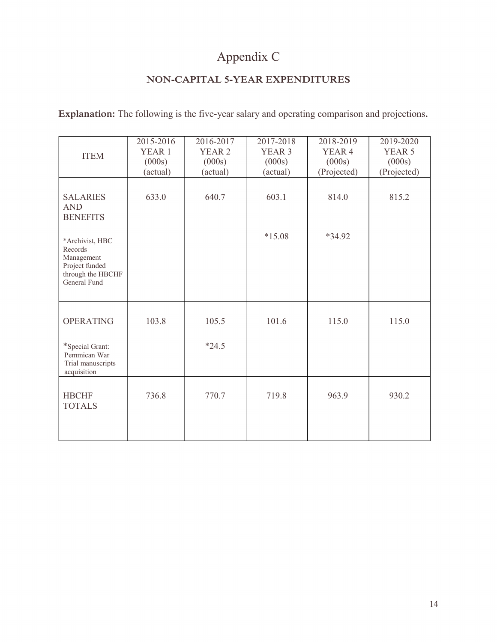## Appendix C

### **NON-CAPITAL 5-YEAR EXPENDITURES**

<span id="page-13-1"></span><span id="page-13-0"></span>**Explanation:** The following is the five-year salary and operating comparison and projections**.**

| <b>ITEM</b>                                                                                     | 2015-2016<br>YEAR <sub>1</sub><br>(000s)<br>(actual) | 2016-2017<br>YEAR <sub>2</sub><br>(000s)<br>(actual) | 2017-2018<br>YEAR <sub>3</sub><br>(000s)<br>(actual) | 2018-2019<br>YEAR <sub>4</sub><br>(000s)<br>(Projected) | 2019-2020<br>YEAR 5<br>(000s)<br>(Projected) |
|-------------------------------------------------------------------------------------------------|------------------------------------------------------|------------------------------------------------------|------------------------------------------------------|---------------------------------------------------------|----------------------------------------------|
| <b>SALARIES</b><br><b>AND</b><br><b>BENEFITS</b>                                                | 633.0                                                | 640.7                                                | 603.1                                                | 814.0                                                   | 815.2                                        |
| *Archivist, HBC<br>Records<br>Management<br>Project funded<br>through the HBCHF<br>General Fund |                                                      |                                                      | $*15.08$                                             | *34.92                                                  |                                              |
| <b>OPERATING</b><br>*Special Grant:<br>Pemmican War                                             | 103.8                                                | 105.5<br>$*24.5$                                     | 101.6                                                | 115.0                                                   | 115.0                                        |
| Trial manuscripts<br>acquisition                                                                |                                                      |                                                      |                                                      |                                                         |                                              |
| <b>HBCHF</b><br><b>TOTALS</b>                                                                   | 736.8                                                | 770.7                                                | 719.8                                                | 963.9                                                   | 930.2                                        |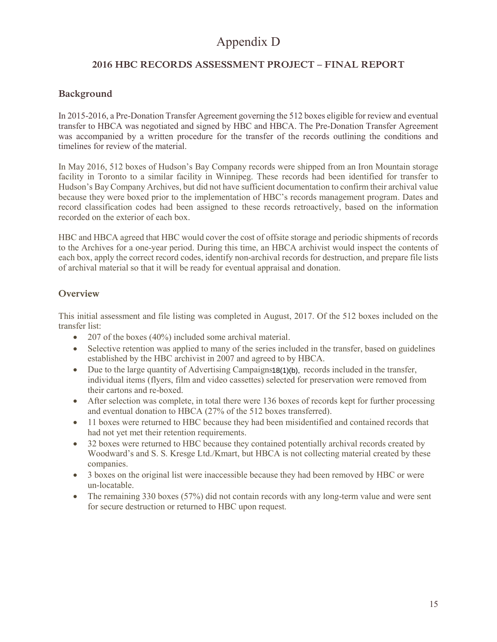## Appendix D

#### <span id="page-14-0"></span>**2016 HBC RECORDS ASSESSMENT PROJECT – FINAL REPORT**

#### <span id="page-14-1"></span>**Background**

In 2015-2016, a Pre-Donation Transfer Agreement governing the 512 boxes eligible for review and eventual transfer to HBCA was negotiated and signed by HBC and HBCA. The Pre-Donation Transfer Agreement was accompanied by a written procedure for the transfer of the records outlining the conditions and timelines for review of the material.

In May 2016, 512 boxes of Hudson's Bay Company records were shipped from an Iron Mountain storage facility in Toronto to a similar facility in Winnipeg. These records had been identified for transfer to Hudson's Bay Company Archives, but did not have sufficient documentation to confirm their archival value because they were boxed prior to the implementation of HBC's records management program. Dates and record classification codes had been assigned to these records retroactively, based on the information recorded on the exterior of each box.

HBC and HBCA agreed that HBC would cover the cost of offsite storage and periodic shipments of records to the Archives for a one-year period. During this time, an HBCA archivist would inspect the contents of each box, apply the correct record codes, identify non-archival records for destruction, and prepare file lists of archival material so that it will be ready for eventual appraisal and donation.

#### **Overview**

This initial assessment and file listing was completed in August, 2017. Of the 512 boxes included on the transfer list:

- 207 of the boxes (40%) included some archival material.
- Selective retention was applied to many of the series included in the transfer, based on guidelines established by the HBC archivist in 2007 and agreed to by HBCA.
- Due to the large quantity of Advertising Campaigns 18(1)(b), records included in the transfer, individual items (flyers, film and video cassettes) selected for preservation were removed from their cartons and re-boxed.
- After selection was complete, in total there were 136 boxes of records kept for further processing and eventual donation to HBCA (27% of the 512 boxes transferred).
- 11 boxes were returned to HBC because they had been misidentified and contained records that had not yet met their retention requirements.
- 32 boxes were returned to HBC because they contained potentially archival records created by Woodward's and S. S. Kresge Ltd./Kmart, but HBCA is not collecting material created by these companies.
- 3 boxes on the original list were inaccessible because they had been removed by HBC or were un-locatable.
- $\bullet$  The remaining 330 boxes (57%) did not contain records with any long-term value and were sent for secure destruction or returned to HBC upon request.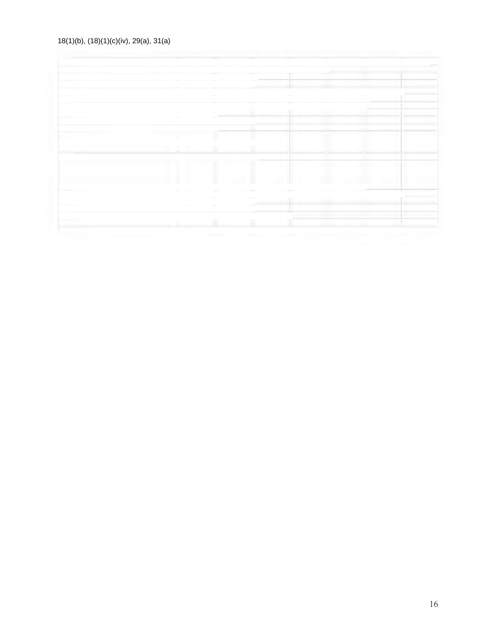#### 18(1)(b), (18)(1)(c)(iv), 29(a), 31(a)

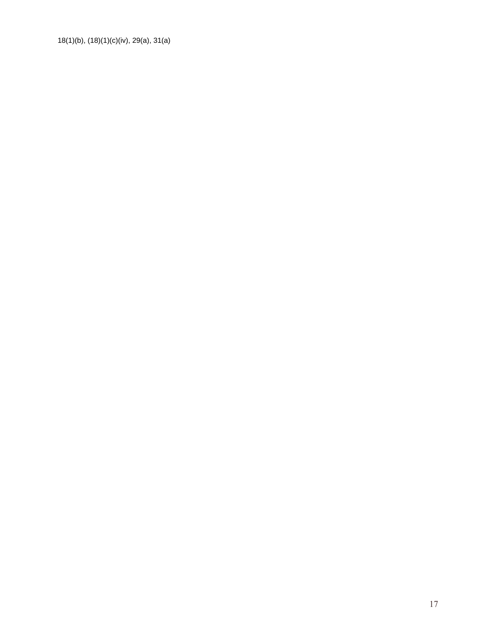18(1)(b), (18)(1)(c)(iv), 29(a), 31(a)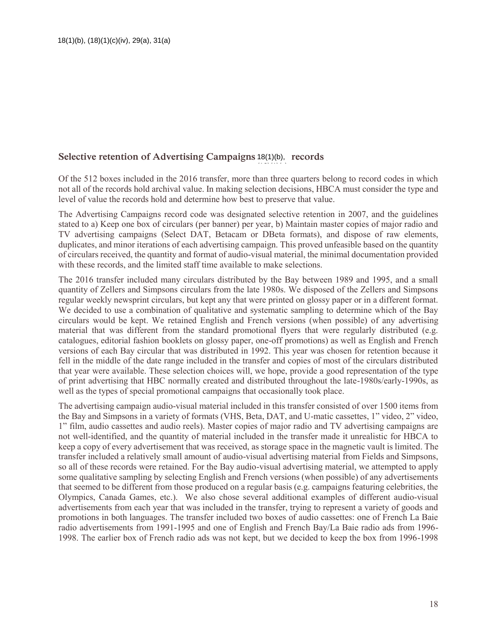#### Selective retention of Advertising Campaigns 18(1)(b), records

Of the 512 boxes included in the 2016 transfer, more than three quarters belong to record codes in which not all of the records hold archival value. In making selection decisions, HBCA must consider the type and level of value the records hold and determine how best to preserve that value.

 $(18)$ 

The Advertising Campaigns record code was designated selective retention in 2007, and the guidelines stated to a) Keep one box of circulars (per banner) per year, b) Maintain master copies of major radio and TV advertising campaigns (Select DAT, Betacam or DBeta formats), and dispose of raw elements, duplicates, and minor iterations of each advertising campaign. This proved unfeasible based on the quantity of circulars received, the quantity and format of audio-visual material, the minimal documentation provided with these records, and the limited staff time available to make selections.

The 2016 transfer included many circulars distributed by the Bay between 1989 and 1995, and a small quantity of Zellers and Simpsons circulars from the late 1980s. We disposed of the Zellers and Simpsons regular weekly newsprint circulars, but kept any that were printed on glossy paper or in a different format. We decided to use a combination of qualitative and systematic sampling to determine which of the Bay circulars would be kept. We retained English and French versions (when possible) of any advertising material that was different from the standard promotional flyers that were regularly distributed (e.g. catalogues, editorial fashion booklets on glossy paper, one-off promotions) as well as English and French versions of each Bay circular that was distributed in 1992. This year was chosen for retention because it fell in the middle of the date range included in the transfer and copies of most of the circulars distributed that year were available. These selection choices will, we hope, provide a good representation of the type of print advertising that HBC normally created and distributed throughout the late-1980s/early-1990s, as well as the types of special promotional campaigns that occasionally took place.

The advertising campaign audio-visual material included in this transfer consisted of over 1500 items from the Bay and Simpsons in a variety of formats (VHS, Beta, DAT, and U-matic cassettes, 1" video, 2" video, 1" film, audio cassettes and audio reels). Master copies of major radio and TV advertising campaigns are not well-identified, and the quantity of material included in the transfer made it unrealistic for HBCA to keep a copy of every advertisement that was received, as storage space in the magnetic vault is limited. The transfer included a relatively small amount of audio-visual advertising material from Fields and Simpsons, so all of these records were retained. For the Bay audio-visual advertising material, we attempted to apply some qualitative sampling by selecting English and French versions (when possible) of any advertisements that seemed to be different from those produced on a regular basis (e.g. campaigns featuring celebrities, the Olympics, Canada Games, etc.). We also chose several additional examples of different audio-visual advertisements from each year that was included in the transfer, trying to represent a variety of goods and promotions in both languages. The transfer included two boxes of audio cassettes: one of French La Baie radio advertisements from 1991-1995 and one of English and French Bay/La Baie radio ads from 1996- 1998. The earlier box of French radio ads was not kept, but we decided to keep the box from 1996-1998